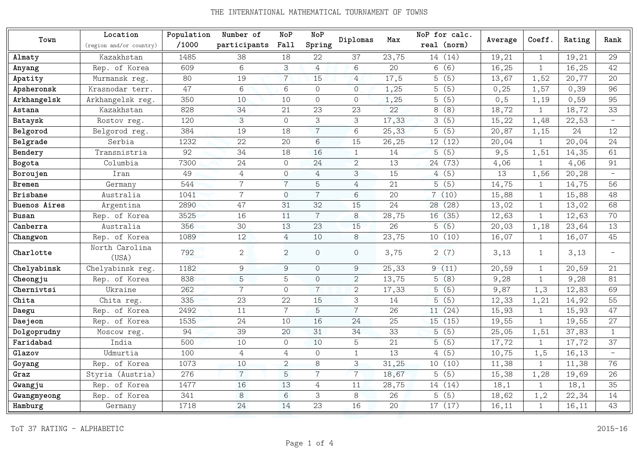| Town         | Location                | Population | Number of      | NoP                                                       | NoP            |                |        | NoP for calc. |         | Coeff.       | Rating | Rank                     |
|--------------|-------------------------|------------|----------------|-----------------------------------------------------------|----------------|----------------|--------|---------------|---------|--------------|--------|--------------------------|
|              | (region and/or country) | /1000      | participants   | Fall                                                      | Spring         | Diplomas       | Max    | real (norm)   | Average |              |        |                          |
| Almaty       | Kazakhstan              | 1485       | 38             | 18                                                        | 22             | 37             | 23,75  | 14 (14)       | 19,21   | $\mathbf{1}$ | 19,21  | 29                       |
| Anyang       | Rep. of Korea           | 609        | 6              | 3                                                         | 4              | $6\,$          | 20     | 6(6)          | 16,25   | $\mathbf{1}$ | 16,25  | 42                       |
| Apatity      | Murmansk reg.           | 80         | 19             | $\overline{7}$                                            | 15             | $\overline{4}$ | 17,5   | 5(5)          | 13,67   | 1,52         | 20,77  | 20                       |
| Apsheronsk   | Krasnodar terr.         | 47         | 6              | 6                                                         | $\Omega$       | $\overline{O}$ | 1,25   | 5(5)          | 0,25    | 1,57         | 0,39   | 96                       |
| Arkhangelsk  | Arkhangelsk reg.        | 350        | 10             | 10                                                        | $\overline{0}$ | $\mathbf 0$    | 1,25   | 5(5)          | 0, 5    | 1,19         | 0,59   | 95                       |
| Astana       | Kazakhstan              | 828        | 34             | 21                                                        | 23             | 23             | 22     | 8(8)          | 18,72   | $\mathbf{1}$ | 18,72  | 33                       |
| Bataysk      | Rostov reg.             | 120        | $\mathcal{S}$  | $\Omega$                                                  | 3              | 3              | 17,33  | 3(5)          | 15,22   | 1,48         | 22,53  | $\overline{\phantom{0}}$ |
| Belgorod     | Belgorod reg.           | 384        | 19             | 18                                                        | $\overline{7}$ | 6              | 25, 33 | 5(5)          | 20,87   | 1,15         | 24     | 12                       |
| Belgrade     | Serbia                  | 1232       | 22             | 20                                                        | 6              | 15             | 26,25  | 12 (12)       | 20,04   | $\mathbf{1}$ | 20,04  | 24                       |
| Bendery      | Transnistria            | 92         | 34             | 18                                                        | 16             | $\mathbf{1}$   | 14     | 5(5)          | 9,5     | 1,51         | 14,35  | 61                       |
| Bogota       | Columbia                | 7300       | 24             | $\mathcal{O}$                                             | 24             | $\overline{2}$ | 13     | 24 (73)       | 4,06    | $\mathbf{1}$ | 4,06   | 91                       |
| Boroujen     | Iran                    | 49         | $\overline{4}$ | $\overline{O}$                                            | $\overline{4}$ | 3              | 15     | 4(5)          | 13      | 1,56         | 20,28  | $\overline{\phantom{0}}$ |
| Bremen       | Germany                 | 544        | $\overline{7}$ | $\overline{7}$                                            | 5              | $\overline{4}$ | 21     | 5(5)          | 14,75   |              | 14,75  | 56                       |
| Brisbane     | Australia               | 1041       | $\overline{7}$ | $\overline{O}$                                            | $\overline{7}$ | 6              | 20     | 7(10)         | 15,88   |              | 15,88  | 48                       |
| Buenos Aires | Argentina               | 2890       | 47             | 31                                                        | 32             | 15             | 24     | 28 (28)       | 13,02   |              | 13,02  | 68                       |
| Busan        | Rep. of Korea           | 3525       | 16             | 11                                                        | $\overline{7}$ | 8              | 28,75  | 16 (35)       | 12,63   | $\mathbf{1}$ | 12,63  | 70                       |
| Canberra     | Australia               | 356        | 30             | 13                                                        | 23             | 15             | 26     | 5(5)          | 20,03   | 1,18         | 23,64  | 13                       |
| Changwon     | Rep. of Korea           | 1089       | 12             | $\overline{4}$                                            | 10             | $8\,$          | 23,75  | 10(10)        | 16,07   | $\mathbf{1}$ | 16,07  | 45                       |
| Charlotte    | North Carolina<br>(USA) | 792        | $\overline{2}$ | 2                                                         | $\Omega$       | $\overline{O}$ | 3,75   | 2(7)          | 3,13    | $\mathbf{1}$ | 3,13   | $\overline{\phantom{0}}$ |
| Chelyabinsk  | Chelyabinsk reg.        | 1182       | $\mathcal{G}$  | $\mathcal{G}% _{M_{1},M_{2}}^{\alpha,\beta}(\mathcal{G})$ | $\overline{O}$ | 9              | 25,33  | 9(11)         | 20,59   | $\mathbf{1}$ | 20,59  | 21                       |
| Cheongju     | Rep. of Korea           | 838        | 5              | $\overline{5}$                                            | $\overline{O}$ | 2              | 13,75  | 5(8)          | 9,28    | $\mathbf{1}$ | 9,28   | 81                       |
| Chernivtsi   | Ukraine                 | 262        | $\overline{7}$ | $\mathcal{O}$                                             | $\overline{7}$ | $\mathbf{2}$   | 17,33  | 5(5)          | 9,87    | 1,3          | 12,83  | 69                       |
| Chita        | Chita reg.              | 335        | 23             | 22                                                        | 15             | 3              | 14     | 5(5)          | 12,33   | 1,21         | 14,92  | 55                       |
| Daegu        | Rep. of Korea           | 2492       | 11             | $\overline{7}$                                            | 5              | $\overline{7}$ | 26     | 11 (24)       | 15,93   | $\mathbf{1}$ | 15,93  | 47                       |
| Daejeon      | Rep. of Korea           | 1535       | 24             | 10                                                        | 16             | 24             | 25     | 15(15)        | 19,55   | $\mathbf{1}$ | 19,55  | 27                       |
| Dolgoprudny  | Moscow reg.             | 94         | 39             | 20                                                        | 31             | 34             | 33     | 5(5)          | 25,05   | 1,51         | 37,83  | $\mathbf{1}$             |
| Faridabad    | India                   | 500        | 10             | $\Omega$                                                  | 10             | 5              | 21     | 5(5)          | 17,72   | 1            | 17,72  | 37                       |
| Glazov       | Udmurtia                | 100        | 4              | 4                                                         | $\Omega$       | $\mathbf{1}$   | 13     | 4(5)          | 10,75   | 1,5          | 16,13  | $\overline{\phantom{a}}$ |
| Goyang       | Rep. of Korea           | 1073       | 10             | $\overline{2}$                                            | 8              | 3              | 31,25  | 10(10)        | 11,38   | $\mathbf{1}$ | 11,38  | 76                       |
| Graz         | Styria (Austria)        | 276        | $\overline{7}$ | 5                                                         | $\overline{7}$ | $\overline{7}$ | 18,67  | 5(5)          | 15,38   | 1,28         | 19,69  | 26                       |
| Gwangju      | Rep. of Korea           | 1477       | 16             | 13                                                        | 4              | 11             | 28,75  | 14 (14)       | 18,1    | $\mathbf{1}$ | 18,1   | 35                       |
| Gwangmyeong  | Rep. of Korea           | 341        | 8              | 6                                                         | 3              | 8              | 26     | 5(5)          | 18,62   | 1, 2         | 22,34  | 14                       |
| Hamburg      | Germany                 | 1718       | 24             | 14                                                        | 23             | 16             | 20     | 17 (17)       | 16,11   | $\mathbf{1}$ | 16,11  | 43                       |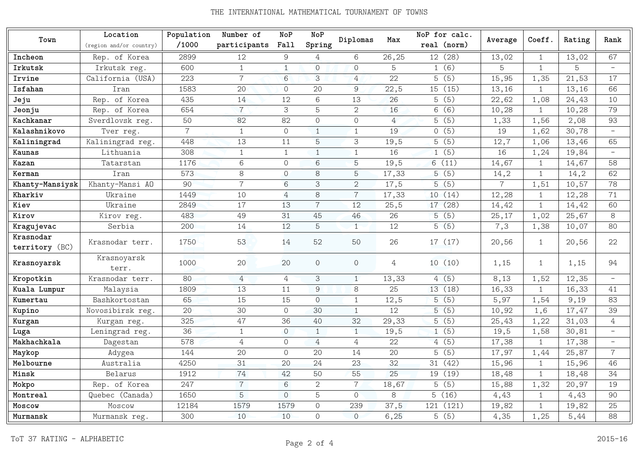## THE INTERNATIONAL MATHEMATICAL TOURNAMENT OF TOWNS

|                             | Location                | Population     | Number of      | NoP            | NoP            |                |                | NoP for calc. |                |              |        | Rank                     |
|-----------------------------|-------------------------|----------------|----------------|----------------|----------------|----------------|----------------|---------------|----------------|--------------|--------|--------------------------|
| Town                        | (region and/or country) | /1000          | participants   | Fall           | Spring         | Diplomas       | Max            | real (norm)   | Average        | Coeff.       | Rating |                          |
| Incheon                     | Rep. of Korea           | 2899           | 12             | 9              | 4              | 6              | 26,25          | 12 (28)       | 13,02          | $\mathbf{1}$ | 13,02  | 67                       |
| Irkutsk                     | Irkutsk reg.            | 600            | $\mathbf{1}$   | $\mathbf{1}$   | $\Omega$       | $\Omega$       | 5              | 1(6)          | 5              | $\mathbf{1}$ | 5      | $\overline{\phantom{0}}$ |
| Irvine                      | California (USA)        | 223            | $\overline{7}$ | 6              | 3              | $\overline{4}$ | 22             | 5(5)          | 15,95          | 1,35         | 21,53  | 17                       |
| Isfahan                     | Iran                    | 1583           | 20             | $\Omega$       | 20             | 9              | 22,5           | 15 (15)       | 13,16          | $\mathbf{1}$ | 13,16  | 66                       |
| Jeju                        | Rep. of Korea           | 435            | 14             | 12             | 6              | 13             | 26             | 5(5)          | 22,62          | 1,08         | 24,43  | 10                       |
| Jeonju                      | Rep. of Korea           | 654            | $\overline{7}$ | 3              | 5              | $\overline{2}$ | 16             | 6(6)          | 10,28          | $\mathbf{1}$ | 10,28  | 79                       |
| Kachkanar                   | Sverdlovsk reg.         | 50             | 82             | 82             | $\Omega$       | $\Omega$       | $\overline{4}$ | 5(5)          | 1,33           | 1,56         | 2,08   | 93                       |
| Kalashnikovo                | Tver reg.               | $\overline{7}$ | $\mathbf{1}$   | $\circ$        | $\mathbf{1}$   | $\mathbf{1}$   | 19             | 0(5)          | 19             | 1,62         | 30,78  | $\overline{\phantom{m}}$ |
| Kaliningrad                 | Kaliningrad reg.        | 448            | 13             | 11             | 5              | 3              | 19,5           | 5(5)          | 12,7           | 1,06         | 13,46  | 65                       |
| Kaunas                      | Lithuania               | 308            | $\mathbf{1}$   | $\mathbf{1}$   | $\mathbf{1}$   | $\mathbf{1}$   | 16             | 1(5)          | 16             | 1,24         | 19,84  | $\overline{\phantom{m}}$ |
| Kazan                       | Tatarstan               | 1176           | 6              | $\Omega$       | 6              | 5              | 19,5           | 6(11)         | 14,67          | $\mathbf{1}$ | 14,67  | 58                       |
| Kerman                      | Iran                    | 573            | 8              | $\Omega$       | 8              | 5              | 17,33          | 5(5)          | 14,2           | $\mathbf{1}$ | 14,2   | 62                       |
| Khanty-Mansiysk             | Khanty-Mansi AO         | 90             | $\overline{7}$ | 6              | 3              | $\overline{2}$ | 17,5           | 5(5)          | $\overline{7}$ | 1,51         | 10,57  | 78                       |
| Kharkiv                     | Ukraine                 | 1449           | 10             | 4              | 8              | $\overline{7}$ | 17,33          | 10(14)        | 12,28          | $\mathbf{1}$ | 12,28  | 71                       |
| Kiev                        | Ukraine                 | 2849           | 17             | 13             | $\overline{7}$ | 12             | 25, 5          | (28)<br>17    | 14,42          | $\mathbf{1}$ | 14,42  | 60                       |
| Kirov                       | Kirov reg.              | 483            | 49             | 31             | 45             | 46             | 26             | 5(5)          | 25,17          | 1,02         | 25,67  | 8                        |
| Kragujevac                  | Serbia                  | 200            | 14             | 12             | 5              | $\mathbf{1}$   | 12             | 5(5)          | 7,3            | 1,38         | 10,07  | 80                       |
| Krasnodar<br>territory (BC) | Krasnodar terr.         | 1750           | 53             | 14             | 52             | 50             | 26             | 17 (17)       | 20,56          | $\mathbf{1}$ | 20,56  | 22                       |
| Krasnoyarsk                 | Krasnoyarsk<br>terr.    | 1000           | 20             | 20             | $\circ$        | $\Omega$       | 4              | 10(10)        | 1,15           | $\mathbf{1}$ | 1,15   | 94                       |
| Kropotkin                   | Krasnodar terr.         | 80             | $\overline{4}$ | $\overline{4}$ | 3              | $\mathbf{1}$   | 13,33          | 4(5)          | 8,13           | 1,52         | 12,35  | $\overline{\phantom{a}}$ |
| Kuala Lumpur                | Malaysia                | 1809           | 13             | 11             | 9              | 8              | 25             | 13(18)        | 16,33          | $\mathbf{1}$ | 16,33  | 41                       |
| Kumertau                    | Bashkortostan           | 65             | 15             | 15             | $\Omega$       | $\mathbf{1}$   | 12,5           | 5(5)          | 5,97           | 1,54         | 9,19   | 83                       |
| Kupino                      | Novosibirsk reg.        | 20             | 30             | $\overline{O}$ | 30             | $\mathbf{1}$   | 12             | 5(5)          | 10,92          | 1,6          | 17,47  | 39                       |
| Kurgan                      | Kurgan reg.             | 325            | 47             | 36             | 40             | 32             | 29,33          | 5(5)          | 25,43          | 1,22         | 31,03  | $\overline{4}$           |
| Luga                        | Leningrad reg.          | 36             | $\mathbf{1}$   | $\Omega$       | $\mathbf{1}$   | $\mathbf{1}$   | 19,5           | 1(5)          | 19,5           | 1,58         | 30,81  | $\overline{\phantom{m}}$ |
| Makhachkala                 | Dagestan                | 578            | $\overline{4}$ | $\Omega$       | 4              | 4              | 22             | 4(5)          | 17,38          | $\mathbf{1}$ | 17,38  | $\overline{a}$           |
| Maykop                      | Adygea                  | 144            | 20             | $\Omega$       | 20             | 14             | 20             | 5(5)          | 17,97          | 1,44         | 25,87  | $\overline{7}$           |
| Melbourne                   | Australia               | 4250           | 31             | 20             | 24             | 23             | 32             | 31 (42)       | 15,96          | $\mathbf{1}$ | 15,96  | 46                       |
| Minsk                       | Belarus                 | 1912           | 74             | 42             | 50             | 55             | 25             | 19 (19)       | 18,48          | $\mathbf{1}$ | 18,48  | 34                       |
| Mokpo                       | Rep. of Korea           | 247            | $\overline{7}$ | 6              | $\overline{2}$ | $\overline{7}$ | 18,67          | (5)<br>5      | 15,88          | 1,32         | 20,97  | 19                       |
| Montreal                    | Quebec (Canada)         | 1650           | 5              | $\overline{O}$ | 5              | $\Omega$       | 8              | 5(16)         | 4,43           | $\mathbf{1}$ | 4,43   | 90                       |
| Moscow                      | Moscow                  | 12184          | 1579           | 1579           | $\Omega$       | 239            | 37,5           | 121<br>(121)  | 19,82          | $\mathbf{1}$ | 19,82  | 25                       |
| Murmansk                    | Murmansk reg.           | 300            | 10             | 10             | $\Omega$       | $\Omega$       | 6, 25          | 5(5)          | 4,35           | 1,25         | 5,44   | 88                       |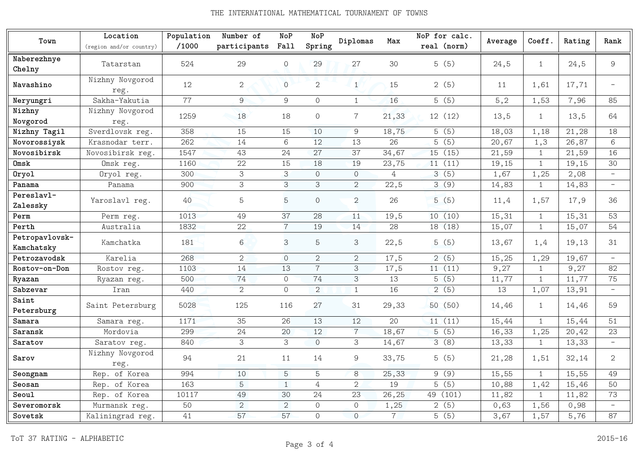## THE INTERNATIONAL MATHEMATICAL TOURNAMENT OF TOWNS

| Town                         | Location<br>(region and/or country) | Population<br>/1000 | Number of<br>participants | <b>NoP</b><br>Fall | <b>NoP</b><br>Spring | Diplomas       | Max            | NoP for calc.<br>real (norm) | Average | Coeff.       | Rating | Rank                     |
|------------------------------|-------------------------------------|---------------------|---------------------------|--------------------|----------------------|----------------|----------------|------------------------------|---------|--------------|--------|--------------------------|
| Naberezhnye                  |                                     |                     |                           |                    |                      |                |                |                              |         |              |        |                          |
| Chelny                       | Tatarstan                           | 524                 | 29                        | $\circ$            | 29                   | 27             | 30             | 5(5)                         | 24,5    | $\mathbf{1}$ | 24,5   | 9                        |
| Navashino                    | Nizhny Novgorod<br>reg.             | 12                  | $\mathbf{2}$              | $\overline{O}$     | $\overline{2}$       | $\mathbf{1}$   | 15             | 2(5)                         | 11      | 1,61         | 17,71  | $\overline{a}$           |
| Neryungri                    | Sakha-Yakutia                       | $\overline{77}$     | 9                         | 9                  | 0                    | $\mathbf{1}$   | 16             | 5(5)                         | 5, 2    | 1,53         | 7,96   | 85                       |
| Nizhny<br>Novgorod           | Nizhny Novgorod<br>reg.             | 1259                | 18                        | 18                 | $\Omega$             | $\overline{7}$ | 21,33          | 12(12)                       | 13,5    | $\mathbf{1}$ | 13,5   | 64                       |
| Nizhny Tagil                 | Sverdlovsk reg.                     | 358                 | 15                        | 15                 | 10                   | 9              | 18,75          | 5(5)                         | 18,03   | 1,18         | 21,28  | 18                       |
| Novorossiysk                 | Krasnodar terr.                     | 262                 | 14                        | 6                  | 12                   | 13             | 26             | 5(5)                         | 20,67   | 1,3          | 26,87  | 6                        |
| Novosibirsk                  | Novosibirsk reg.                    | 1547                | 43                        | 24                 | 27                   | 37             | 34,67          | 15 (15)                      | 21,59   | $\mathbf{1}$ | 21,59  | 16                       |
| Omsk                         | Omsk reg.                           | 1160                | 22                        | 15                 | 18                   | 19             | 23,75          | 11(11)                       | 19,15   | $\mathbf{1}$ | 19,15  | 30                       |
| Oryol                        | Oryol reg.                          | 300                 | 3                         | 3                  | $\Omega$             | $\circ$        | 4              | 3(5)                         | 1,67    | 1,25         | 2,08   | $\overline{\phantom{a}}$ |
| Panama                       | Panama                              | 900                 | 3                         | 3                  | 3                    | 2              | 22,5           | 3(9)                         | 14,83   | $\mathbf{1}$ | 14,83  | $\overline{\phantom{a}}$ |
| Pereslavl-<br>Zalessky       | Yaroslavl reg.                      | 40                  | 5                         | 5                  | $\Omega$             | $\overline{2}$ | 26             | 5(5)                         | 11,4    | 1,57         | 17,9   | 36                       |
| Perm                         | Perm reg.                           | 1013                | 49                        | 37                 | 28                   | 11             | 19,5           | 10(10)                       | 15,31   | $\mathbf{1}$ | 15,31  | 53                       |
| Perth                        | Australia                           | 1832                | 22                        | $\overline{7}$     | 19                   | 14             | 28             | 18 (18)                      | 15,07   | $\mathbf{1}$ | 15,07  | 54                       |
| Petropavlovsk-<br>Kamchatsky | Kamchatka                           | 181                 | 6                         | 3                  | 5                    | 3              | 22,5           | 5(5)                         | 13,67   | 1,4          | 19,13  | 31                       |
| Petrozavodsk                 | Karelia                             | 268                 | $\overline{2}$            | $\Omega$           | 2                    | 2              | 17,5           | 2(5)                         | 15,25   | 1,29         | 19,67  | $\overline{\phantom{0}}$ |
| Rostov-on-Don                | Rostov reg.                         | 1103                | 14                        | 13                 | $\overline{7}$       | 3              | 17,5           | 11(11)                       | 9,27    | $\mathbf{1}$ | 9,27   | 82                       |
| Ryazan                       | Ryazan reg.                         | 500                 | 74                        | $\circ$            | 74                   | 3              | 13             | 5(5)                         | 11,77   | $\mathbf{1}$ | 11,77  | 75                       |
| Sabzevar                     | Iran                                | 440                 | $\overline{2}$            | $\circ$            | $\overline{2}$       | $\mathbf{1}$   | 16             | 2(5)                         | 13      | 1,07         | 13,91  | $\equiv$                 |
| Saint<br>Petersburg          | Saint Petersburg                    | 5028                | 125                       | 116                | 27                   | 31             | 29,33          | 50 (50)                      | 14,46   | $\mathbf{1}$ | 14,46  | 59                       |
| Samara                       | Samara reg.                         | 1171                | 35                        | 26                 | 13                   | 12             | 20             | 11(11)                       | 15,44   | $\mathbf{1}$ | 15,44  | 51                       |
| Saransk                      | Mordovia                            | 299                 | 24                        | 20                 | 12                   | $\overline{7}$ | 18,67          | 5(5)                         | 16,33   | 1,25         | 20,42  | 23                       |
| Saratov                      | Saratov reg.                        | 840                 | 3                         | 3                  | $\overline{0}$       | 3              | 14,67          | 3(8)                         | 13,33   | $\mathbf{1}$ | 13,33  | $\overline{\phantom{a}}$ |
| Sarov                        | Nizhny Novgorod<br>reg.             | 94                  | 21                        | 11                 | 14                   | $\overline{9}$ | 33,75          | 5(5)                         | 21,28   | 1,51         | 32,14  | $\overline{2}$           |
| Seongnam                     | Rep. of Korea                       | 994                 | 10                        | 5                  | 5                    | 8              | 25,33          | 9(9)                         | 15,55   | $\mathbf{1}$ | 15,55  | 49                       |
| Seosan                       | Rep. of Korea                       | 163                 | 5                         | $\mathbf{1}$       | $\overline{4}$       | $\overline{2}$ | 19             | 5(5)                         | 10,88   | 1,42         | 15,46  | 50                       |
| Seoul                        | Rep. of Korea                       | 10117               | 49                        | 30                 | 24                   | 23             | 26,25          | 49 (101)                     | 11,82   | $\mathbf{1}$ | 11,82  | 73                       |
| Severomorsk                  | Murmansk reg.                       | 50                  | $\overline{2}$            | 2                  | $\Omega$             | $\Omega$       | 1,25           | 2(5)                         | 0,63    | 1,56         | 0,98   | $\overline{\phantom{a}}$ |
| Sovetsk                      | Kaliningrad reg.                    | 41                  | 57                        | 57                 | $\overline{O}$       | $\overline{O}$ | 7 <sup>1</sup> | 5(5)                         | 3,67    | 1,57         | 5,76   | 87                       |